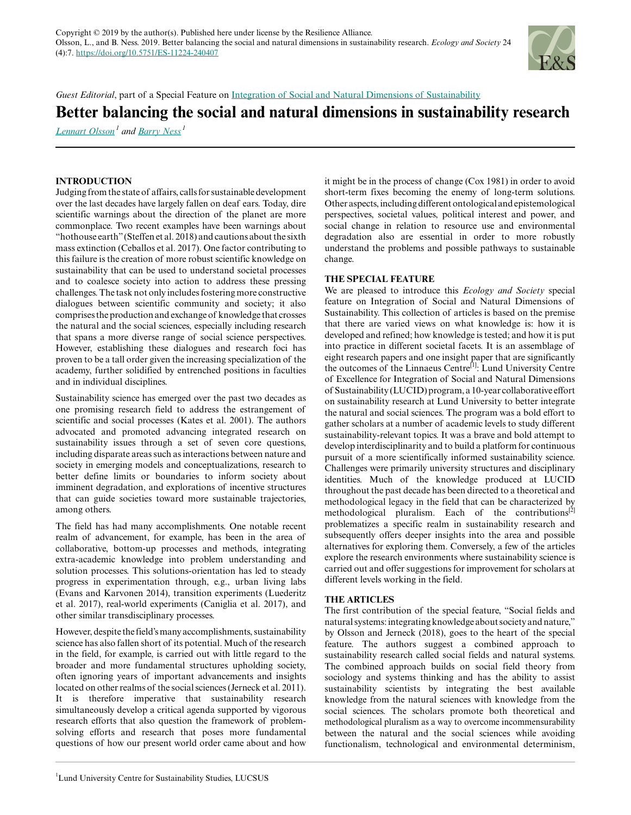

*Guest Editorial*, part of a Special Feature on [Integration of Social and Natural Dimensions of Sustainability](https://www.ecologyandsociety.org/viewissue.php?sf=135)

# **Better balancing the social and natural dimensions in sustainability research**

*[Lennart Olsson](mailto:lennart.olsson@lucsus.lu.se)<sup>1</sup> and [Barry Ness](mailto:barry.ness@lucsus.lu.se)<sup>1</sup>*

## **INTRODUCTION**

Judging from the state of affairs, calls for sustainable development over the last decades have largely fallen on deaf ears. Today, dire scientific warnings about the direction of the planet are more commonplace. Two recent examples have been warnings about "hothouse earth" (Steffen et al. 2018) and cautions about the sixth mass extinction (Ceballos et al. 2017). One factor contributing to this failure is the creation of more robust scientific knowledge on sustainability that can be used to understand societal processes and to coalesce society into action to address these pressing challenges. The task not only includes fostering more constructive dialogues between scientific community and society; it also comprises the production and exchange of knowledge that crosses the natural and the social sciences, especially including research that spans a more diverse range of social science perspectives. However, establishing these dialogues and research foci has proven to be a tall order given the increasing specialization of the academy, further solidified by entrenched positions in faculties and in individual disciplines.

Sustainability science has emerged over the past two decades as one promising research field to address the estrangement of scientific and social processes (Kates et al. 2001). The authors advocated and promoted advancing integrated research on sustainability issues through a set of seven core questions, including disparate areas such as interactions between nature and society in emerging models and conceptualizations, research to better define limits or boundaries to inform society about imminent degradation, and explorations of incentive structures that can guide societies toward more sustainable trajectories, among others.

The field has had many accomplishments. One notable recent realm of advancement, for example, has been in the area of collaborative, bottom-up processes and methods, integrating extra-academic knowledge into problem understanding and solution processes. This solutions-orientation has led to steady progress in experimentation through, e.g., urban living labs (Evans and Karvonen 2014), transition experiments (Luederitz et al. 2017), real-world experiments (Caniglia et al. 2017), and other similar transdisciplinary processes.

However, despite the field's many accomplishments, sustainability science has also fallen short of its potential. Much of the research in the field, for example, is carried out with little regard to the broader and more fundamental structures upholding society, often ignoring years of important advancements and insights located on other realms of the social sciences (Jerneck et al. 2011). It is therefore imperative that sustainability research simultaneously develop a critical agenda supported by vigorous research efforts that also question the framework of problemsolving efforts and research that poses more fundamental questions of how our present world order came about and how

it might be in the process of change (Cox 1981) in order to avoid short-term fixes becoming the enemy of long-term solutions. Other aspects, including different ontological and epistemological perspectives, societal values, political interest and power, and social change in relation to resource use and environmental degradation also are essential in order to more robustly understand the problems and possible pathways to sustainable change.

### **THE SPECIAL FEATURE**

We are pleased to introduce this *Ecology and Society* special feature on Integration of Social and Natural Dimensions of Sustainability. This collection of articles is based on the premise that there are varied views on what knowledge is: how it is developed and refined; how knowledge is tested; and how it is put into practice in different societal facets. It is an assemblage of eight research papers and one insight paper that are significantly the outcomes of the Linnaeus Centre<sup>[1]</sup>: Lund University Centre of Excellence for Integration of Social and Natural Dimensions of Sustainability (LUCID) program, a 10-year collaborative effort on sustainability research at Lund University to better integrate the natural and social sciences. The program was a bold effort to gather scholars at a number of academic levels to study different sustainability-relevant topics. It was a brave and bold attempt to develop interdisciplinarity and to build a platform for continuous pursuit of a more scientifically informed sustainability science. Challenges were primarily university structures and disciplinary identities. Much of the knowledge produced at LUCID throughout the past decade has been directed to a theoretical and methodological legacy in the field that can be characterized by methodological pluralism. Each of the contributions<sup>[2]</sup> problematizes a specific realm in sustainability research and subsequently offers deeper insights into the area and possible alternatives for exploring them. Conversely, a few of the articles explore the research environments where sustainability science is carried out and offer suggestions for improvement for scholars at different levels working in the field.

### **THE ARTICLES**

The first contribution of the special feature, "Social fields and natural systems: integrating knowledge about society and nature," by Olsson and Jerneck (2018), goes to the heart of the special feature. The authors suggest a combined approach to sustainability research called social fields and natural systems. The combined approach builds on social field theory from sociology and systems thinking and has the ability to assist sustainability scientists by integrating the best available knowledge from the natural sciences with knowledge from the social sciences. The scholars promote both theoretical and methodological pluralism as a way to overcome incommensurability between the natural and the social sciences while avoiding functionalism, technological and environmental determinism,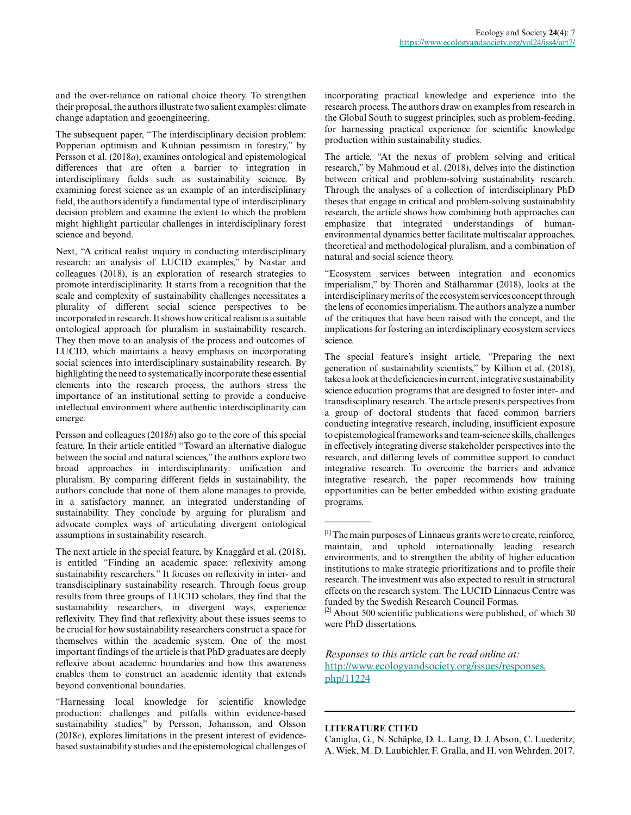and the over-reliance on rational choice theory. To strengthen their proposal, the authors illustrate two salient examples: climate change adaptation and geoengineering.

The subsequent paper, "The interdisciplinary decision problem: Popperian optimism and Kuhnian pessimism in forestry," by Persson et al. (2018*a*), examines ontological and epistemological differences that are often a barrier to integration in interdisciplinary fields such as sustainability science. By examining forest science as an example of an interdisciplinary field, the authors identify a fundamental type of interdisciplinary decision problem and examine the extent to which the problem might highlight particular challenges in interdisciplinary forest science and beyond.

Next, "A critical realist inquiry in conducting interdisciplinary research: an analysis of LUCID examples," by Nastar and colleagues (2018), is an exploration of research strategies to promote interdisciplinarity. It starts from a recognition that the scale and complexity of sustainability challenges necessitates a plurality of different social science perspectives to be incorporated in research. It shows how critical realism is a suitable ontological approach for pluralism in sustainability research. They then move to an analysis of the process and outcomes of LUCID, which maintains a heavy emphasis on incorporating social sciences into interdisciplinary sustainability research. By highlighting the need to systematically incorporate these essential elements into the research process, the authors stress the importance of an institutional setting to provide a conducive intellectual environment where authentic interdisciplinarity can emerge.

Persson and colleagues (2018*b*) also go to the core of this special feature. In their article entitled "Toward an alternative dialogue between the social and natural sciences," the authors explore two broad approaches in interdisciplinarity: unification and pluralism. By comparing different fields in sustainability, the authors conclude that none of them alone manages to provide, in a satisfactory manner, an integrated understanding of sustainability. They conclude by arguing for pluralism and advocate complex ways of articulating divergent ontological assumptions in sustainability research.

The next article in the special feature, by Knaggård et al. (2018), is entitled "Finding an academic space: reflexivity among sustainability researchers." It focuses on reflexivity in inter- and transdisciplinary sustainability research. Through focus group results from three groups of LUCID scholars, they find that the sustainability researchers, in divergent ways, experience reflexivity. They find that reflexivity about these issues seems to be crucial for how sustainability researchers construct a space for themselves within the academic system. One of the most important findings of the article is that PhD graduates are deeply reflexive about academic boundaries and how this awareness enables them to construct an academic identity that extends beyond conventional boundaries.

"Harnessing local knowledge for scientific knowledge production: challenges and pitfalls within evidence-based sustainability studies," by Persson, Johansson, and Olsson (2018*c*), explores limitations in the present interest of evidencebased sustainability studies and the epistemological challenges of incorporating practical knowledge and experience into the research process. The authors draw on examples from research in the Global South to suggest principles, such as problem-feeding, for harnessing practical experience for scientific knowledge production within sustainability studies.

The article, "At the nexus of problem solving and critical research," by Mahmoud et al. (2018), delves into the distinction between critical and problem-solving sustainability research. Through the analyses of a collection of interdisciplinary PhD theses that engage in critical and problem-solving sustainability research, the article shows how combining both approaches can emphasize that integrated understandings of humanenvironmental dynamics better facilitate multiscalar approaches, theoretical and methodological pluralism, and a combination of natural and social science theory.

"Ecosystem services between integration and economics imperialism," by Thorén and Stålhammar (2018), looks at the interdisciplinary merits of the ecosystem services concept through the lens of economics imperialism. The authors analyze a number of the critiques that have been raised with the concept, and the implications for fostering an interdisciplinary ecosystem services science.

The special feature's insight article, "Preparing the next generation of sustainability scientists," by Killion et al. (2018), takes a look at the deficiencies in current, integrative sustainability science education programs that are designed to foster inter- and transdisciplinary research. The article presents perspectives from a group of doctoral students that faced common barriers conducting integrative research, including, insufficient exposure to epistemological frameworks and team-science skills, challenges in effectively integrating diverse stakeholder perspectives into the research, and differing levels of committee support to conduct integrative research. To overcome the barriers and advance integrative research, the paper recommends how training opportunities can be better embedded within existing graduate programs.

*Responses to this article can be read online at:* [http://www.ecologyandsociety.org/issues/responses.](http://www.ecologyandsociety.org/issues/responses.php/11224) [php/11224](http://www.ecologyandsociety.org/issues/responses.php/11224)

#### **LITERATURE CITED**

 $\overline{\phantom{a}}$ 

Caniglia, G., N. Schäpke, D. L. Lang, D. J. Abson, C. Luederitz, A. Wiek, M. D. Laubichler, F. Gralla, and H. von Wehrden. 2017.

<sup>[1]</sup> The main purposes of Linnaeus grants were to create, reinforce, maintain, and uphold internationally leading research environments, and to strengthen the ability of higher education institutions to make strategic prioritizations and to profile their research. The investment was also expected to result in structural effects on the research system. The LUCID Linnaeus Centre was funded by the Swedish Research Council Formas.

<sup>&</sup>lt;sup>[2]</sup> About 500 scientific publications were published, of which 30 were PhD dissertations.